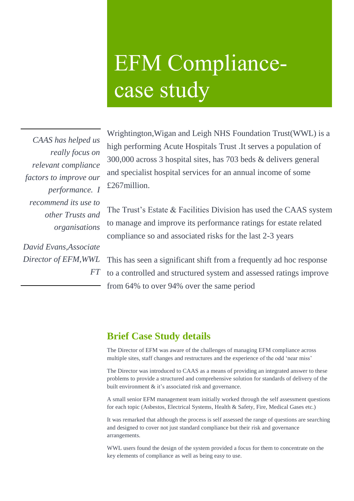# EFM Compliancecase study

*CAAS has helped us really focus on relevant compliance factors to improve our performance. I recommend its use to other Trusts and organisations* 

*David Evans,Associate Director of EFM,WWL FT* 

Wrightington,Wigan and Leigh NHS Foundation Trust(WWL) is a high performing Acute Hospitals Trust .It serves a population of 300,000 across 3 hospital sites, has 703 beds & delivers general and specialist hospital services for an annual income of some £267million.

The Trust's Estate & Facilities Division has used the CAAS system to manage and improve its performance ratings for estate related compliance so and associated risks for the last 2-3 years

This has seen a significant shift from a frequently ad hoc response to a controlled and structured system and assessed ratings improve from 64% to over 94% over the same period

## **Brief Case Study details**

The Director of EFM was aware of the challenges of managing EFM compliance across multiple sites, staff changes and restructures and the experience of the odd 'near miss'

The Director was introduced to CAAS as a means of providing an integrated answer to these problems to provide a structured and comprehensive solution for standards of delivery of the built environment & it's associated risk and governance.

A small senior EFM management team initially worked through the self assessment questions for each topic (Asbestos, Electrical Systems, Health & Safety, Fire, Medical Gases etc.)

It was remarked that although the process is self assessed the range of questions are searching and designed to cover not just standard compliance but their risk and governance arrangements.

WWL users found the design of the system provided a focus for them to concentrate on the key elements of compliance as well as being easy to use.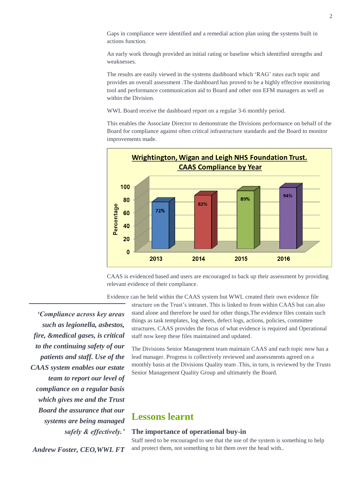Gaps in compliance were identified and a remedial action plan using the systems built in actions function.

An early work through provided an initial rating or baseline which identified strengths and weaknesses.

The results are easily viewed in the systems dashboard which 'RAG' rates each topic and provides an overall assessment .The dashboard has proved to be a highly effective monitoring tool and performance communication aid to Board and other non EFM managers as well as within the Division.

WWL Board receive the dashboard report on a regular 3-6 monthly period.

This enables the Associate Director to demonstrate the Divisions performance on behalf of the Board for compliance against often critical infrastructure standards and the Board to monitor improvements made.



CAAS is evidenced based and users are encouraged to back up their assessment by providing relevant evidence of their compliance.

Evidence can be held within the CAAS system but WWL created their own evidence file

*'Compliance across key areas such as legionella, asbestos, fire, &medical gases, is critical to the continuing safety of our patients and staff. Use of the CAAS system enables our estate team to report our level of compliance on a regular basis which gives me and the Trust Board the assurance that our systems are being managed safely & effectively.'*

*Andrew Foster, CEO,WWL FT*

structure on the Trust's intranet. This is linked to from within CAAS but can also stand alone and therefore be used for other things.The evidence files contain such things as task templates, log sheets, defect logs, actions, policies, committee structures. CAAS provides the focus of what evidence is required and Operational staff now keep these files maintained and updated.

The Divisions Senior Management team maintain CAAS and each topic now has a lead manager. Progress is collectively reviewed and assessments agreed on a monthly basis at the Divisions Quality team .This, in turn, is reviewed by the Trusts Senior Management Quality Group and ultimately the Board.

### **Lessons learnt**

#### **The importance of operational buy-in**

Staff need to be encouraged to see that the use of the system is something to help and protect them, not something to hit them over the head with..